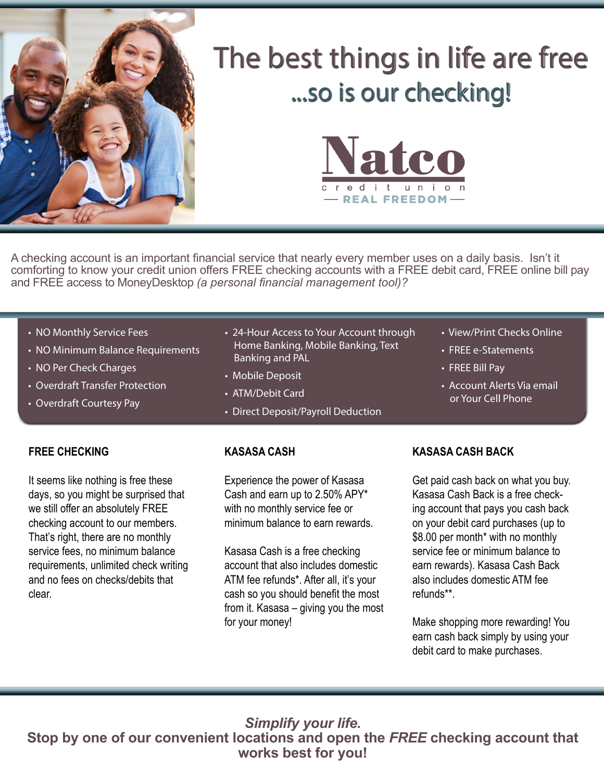

## The best things in life are free ...so is our checking!



A checking account is an important financial service that nearly every member uses on a daily basis. Isn't it comforting to know your credit union offers FREE checking accounts with a FREE debit card, FREE online bill pay and FREE access to MoneyDesktop *(a personal financial management tool)?*

- NO Monthly Service Fees
- NO Minimum Balance Requirements
- NO Per Check Charges
- Overdraft Transfer Protection
- Overdraft Courtesy Pay
- 24-Hour Access to Your Account through Home Banking, Mobile Banking, Text Banking and PAL
- Mobile Deposit
- ATM/Debit Card
- Direct Deposit/Payroll Deduction

**FREE CHECKING**

It seems like nothing is free these days, so you might be surprised that we still offer an absolutely FREE checking account to our members. That's right, there are no monthly service fees, no minimum balance requirements, unlimited check writing and no fees on checks/debits that clear.

## **KASASA CASH**

Experience the power of Kasasa Cash and earn up to 2.50% APY\* with no monthly service fee or minimum balance to earn rewards.

Kasasa Cash is a free checking account that also includes domestic ATM fee refunds\*. After all, it's your cash so you should benefit the most from it. Kasasa – giving you the most for your money!

- View/Print Checks Online • FREE e-Statements
- FREE Bill Pay
- Account Alerts Via email or Your Cell Phone

## **KASASA CASH BACK**

Get paid cash back on what you buy. Kasasa Cash Back is a free checking account that pays you cash back on your debit card purchases (up to \$8.00 per month<sup>\*</sup> with no monthly service fee or minimum balance to earn rewards). Kasasa Cash Back also includes domestic ATM fee refunds\*\*.

Make shopping more rewarding! You earn cash back simply by using your debit card to make purchases.

*Simplify your life.*  **Stop by one of our convenient locations and open the** *FREE* **checking account that works best for you!**